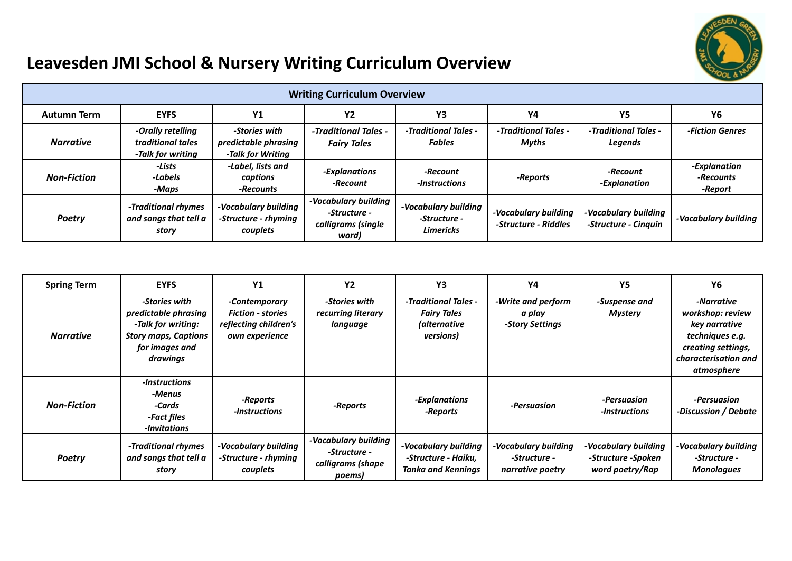

## **Leavesden JMI School & Nursery Writing Curriculum Overview**

| <b>Writing Curriculum Overview</b> |                                                             |                                                            |                                                                     |                                                          |                                              |                                              |                                      |  |
|------------------------------------|-------------------------------------------------------------|------------------------------------------------------------|---------------------------------------------------------------------|----------------------------------------------------------|----------------------------------------------|----------------------------------------------|--------------------------------------|--|
| <b>Autumn Term</b>                 | <b>EYFS</b>                                                 | <b>Y1</b>                                                  | <b>Y2</b>                                                           | Y3                                                       | Υ4                                           | Y5                                           | Υ6                                   |  |
| <b>Narrative</b>                   | -Orally retelling<br>traditional tales<br>-Talk for writing | -Stories with<br>predictable phrasing<br>-Talk for Writing | -Traditional Tales -<br><b>Fairy Tales</b>                          | -Traditional Tales -<br><b>Fables</b>                    | -Traditional Tales -<br>Myths                | -Traditional Tales -<br><b>Legends</b>       | -Fiction Genres                      |  |
| <b>Non-Fiction</b>                 | -Lists<br>-Labels<br>-Maps                                  | -Label, lists and<br>captions<br>-Recounts                 | -Explanations<br>-Recount                                           | -Recount<br>-Instructions                                | -Reports                                     | -Recount<br>-Explanation                     | -Explanation<br>-Recounts<br>-Report |  |
| <b>Poetry</b>                      | -Traditional rhymes<br>and songs that tell a<br>story       | -Vocabulary building<br>-Structure - rhyming<br>couplets   | -Vocabulary building<br>-Structure -<br>calligrams (single<br>word) | -Vocabulary building<br>-Structure -<br><b>Limericks</b> | -Vocabulary building<br>-Structure - Riddles | -Vocabulary building<br>-Structure - Cinquin | -Vocabulary building                 |  |

| <b>Spring Term</b> | <b>EYFS</b>                                                                                                              | Y <sub>1</sub>                                                                       | <b>Y2</b>                                                           | Y3                                                                              | Y4                                                       | <b>Y5</b>                                                     | Υ6                                                                                                                             |
|--------------------|--------------------------------------------------------------------------------------------------------------------------|--------------------------------------------------------------------------------------|---------------------------------------------------------------------|---------------------------------------------------------------------------------|----------------------------------------------------------|---------------------------------------------------------------|--------------------------------------------------------------------------------------------------------------------------------|
| <b>Narrative</b>   | -Stories with<br>predictable phrasing<br>-Talk for writing:<br><b>Story maps, Captions</b><br>for images and<br>drawings | -Contemporary<br><b>Fiction - stories</b><br>reflecting children's<br>own experience | -Stories with<br>recurring literary<br>language                     | - Traditional Tales -<br><b>Fairy Tales</b><br><i>(alternative</i><br>versions) | -Write and perform<br>a play<br>-Story Settings          | -Suspense and<br><b>Mystery</b>                               | -Narrative<br>workshop: review<br>key narrative<br>techniques e.g.<br>creating settings,<br>characterisation and<br>atmosphere |
| <b>Non-Fiction</b> | -Instructions<br>-Menus<br>-Cards<br>-Fact files<br>-Invitations                                                         | -Reports<br>-Instructions                                                            | -Reports                                                            | -Explanations<br>-Reports                                                       | -Persuasion                                              | -Persuasion<br>-Instructions                                  | -Persuasion<br>-Discussion / Debate                                                                                            |
| <b>Poetry</b>      | -Traditional rhymes<br>and songs that tell a<br>story                                                                    | -Vocabulary building<br>-Structure - rhyming<br>couplets                             | -Vocabulary building<br>-Structure -<br>calligrams (shape<br>poems) | -Vocabulary building<br>-Structure - Haiku.<br><b>Tanka and Kennings</b>        | -Vocabulary building<br>-Structure -<br>narrative poetry | -Vocabulary building<br>-Structure -Spoken<br>word poetry/Rap | -Vocabulary building<br>-Structure -<br><b>Monologues</b>                                                                      |